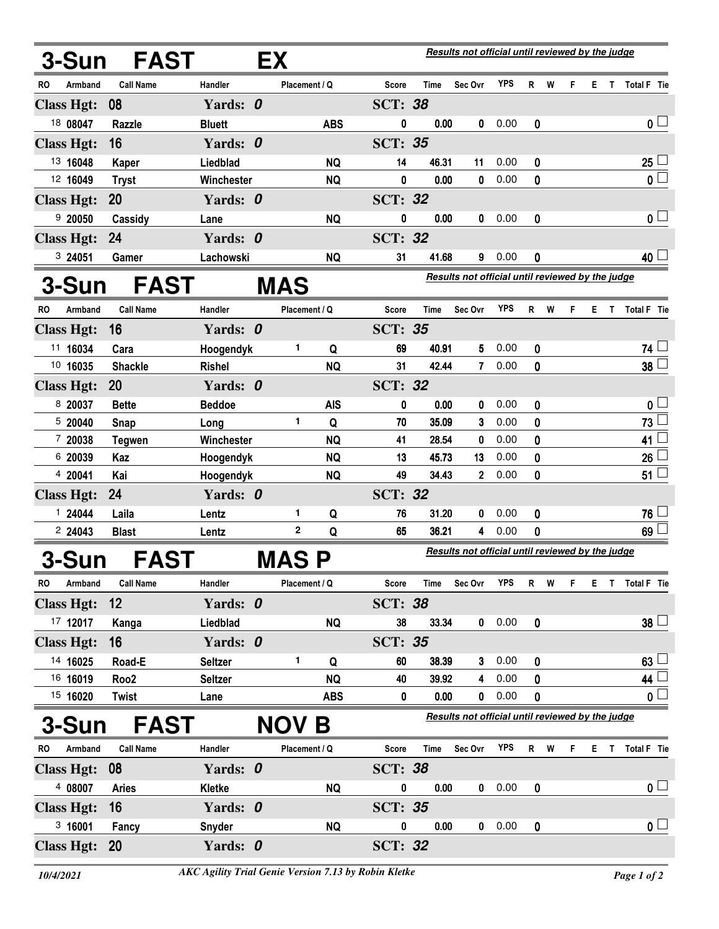| 3-Sun FAST<br>EX                        |                            |                |  |               |            |                                                  | Results not official until reviewed by the judge |                |            |              |   |   |    |    |                     |
|-----------------------------------------|----------------------------|----------------|--|---------------|------------|--------------------------------------------------|--------------------------------------------------|----------------|------------|--------------|---|---|----|----|---------------------|
| RO<br>Armband                           | <b>Call Name</b>           | Handler        |  | Placement / Q |            | <b>Score</b>                                     | <b>Time</b>                                      | Sec Ovr        | <b>YPS</b> | R            | W | F |    |    | E T Total F Tie     |
| <b>Class Hgt:</b>                       | 08                         | Yards: 0       |  |               |            | <b>SCT: 38</b>                                   |                                                  |                |            |              |   |   |    |    |                     |
| 18 08047                                | Razzle                     | <b>Bluett</b>  |  |               | <b>ABS</b> | 0                                                | 0.00                                             | 0              | 0.00       | 0            |   |   |    |    | 0 <sub>1</sub>      |
| <b>Class Hgt:</b>                       | 16                         | Yards: 0       |  |               |            | <b>SCT: 35</b>                                   |                                                  |                |            |              |   |   |    |    |                     |
| 13 16048                                | Kaper                      | Liedblad       |  |               | <b>NQ</b>  | 14                                               | 46.31                                            | 11             | 0.00       | 0            |   |   |    |    | 25                  |
| 12 16049                                | <b>Tryst</b>               | Winchester     |  |               | <b>NQ</b>  | 0                                                | 0.00                                             | $\bf{0}$       | 0.00       | 0            |   |   |    |    | $0\perp$            |
| <b>Class Hgt:</b>                       | <b>20</b>                  | Yards: 0       |  |               |            | <b>SCT: 32</b>                                   |                                                  |                |            |              |   |   |    |    |                     |
| 920050                                  | Cassidy                    | Lane           |  |               | <b>NQ</b>  | 0                                                | 0.00                                             | 0              | 0.00       | 0            |   |   |    |    | 0 <sub>1</sub>      |
| <b>Class Hgt:</b>                       | 24                         | Yards: 0       |  |               |            | <b>SCT: 32</b>                                   |                                                  |                |            |              |   |   |    |    |                     |
| 3 24051                                 | Gamer                      | Lachowski      |  |               | <b>NQ</b>  | 31                                               | 41.68                                            | 9              | 0.00       | 0            |   |   |    |    | 40 <sup>1</sup>     |
| <b>3-Sun</b>                            | <b>FAST</b>                |                |  | <b>MAS</b>    |            |                                                  | Results not official until reviewed by the judge |                |            |              |   |   |    |    |                     |
| <b>Armband</b><br><b>RO</b>             | <b>Call Name</b>           | Handler        |  | Placement / Q |            | Score                                            | Time                                             | Sec Ovr        | <b>YPS</b> | R            | W | F | E. | T. | Total F Tie         |
| <b>Class Hgt:</b>                       | 16                         | Yards: 0       |  |               |            | <b>SCT: 35</b>                                   |                                                  |                |            |              |   |   |    |    |                     |
| 11 16034                                | Cara                       | Hoogendyk      |  | 1             | Q          | 69                                               | 40.91                                            | 5              | 0.00       | 0            |   |   |    |    | 74 <sup>1</sup>     |
| 10 16035                                | <b>Shackle</b>             | <b>Rishel</b>  |  |               | <b>NQ</b>  | 31                                               | 42.44                                            | 7              | 0.00       | 0            |   |   |    |    | 38                  |
| <b>Class Hgt:</b>                       | 20                         | Yards: 0       |  |               |            | <b>SCT: 32</b>                                   |                                                  |                |            |              |   |   |    |    |                     |
| 8 20037                                 | <b>Bette</b>               | <b>Beddoe</b>  |  |               | <b>AIS</b> | 0                                                | 0.00                                             | 0              | 0.00       | 0            |   |   |    |    | $\mathbf 0$         |
| 520040                                  | Snap                       | Long           |  | $\mathbf{1}$  | Q          | 70                                               | 35.09                                            | 3              | 0.00       | 0            |   |   |    |    | 73                  |
| 7 20038                                 | <b>Tegwen</b>              | Winchester     |  |               | <b>NQ</b>  | 41                                               | 28.54                                            | 0              | 0.00       | 0            |   |   |    |    | 41                  |
| 6 20039                                 | Kaz                        | Hoogendyk      |  |               | <b>NQ</b>  | 13                                               | 45.73                                            | 13             | 0.00       | 0            |   |   |    |    | 26                  |
| 4 20041                                 | Kai                        | Hoogendyk      |  |               | <b>NQ</b>  | 49                                               | 34.43                                            | $\overline{2}$ | 0.00       | 0            |   |   |    |    | 51                  |
| <b>Class Hgt:</b>                       | 24                         | Yards: 0       |  |               |            | <b>SCT: 32</b>                                   |                                                  |                |            |              |   |   |    |    |                     |
| 1 24044                                 | Laila                      | Lentz          |  | 1             | Q          | 76                                               | 31.20                                            | 0              | 0.00       | 0            |   |   |    |    | 76                  |
| 2 24043                                 | <b>Blast</b>               | Lentz          |  | $\mathbf 2$   | Q          | 65                                               | 36.21                                            | 4              | 0.00       | 0            |   |   |    |    | 69                  |
| 3-Sun                                   | <b>FAST</b><br><b>MASP</b> |                |  |               |            | Results not official until reviewed by the judge |                                                  |                |            |              |   |   |    |    |                     |
| Armband<br>RO                           | <b>Call Name</b>           | Handler        |  | Placement / Q |            | Score                                            | Time                                             | Sec Ovr        | <b>YPS</b> | $\mathsf{R}$ | W | F |    |    | E T Total F Tie     |
| <b>Class Hgt:</b>                       | 12                         | Yards: 0       |  |               |            | <b>SCT: 38</b>                                   |                                                  |                |            |              |   |   |    |    |                     |
| 17 12017                                | Kanga                      | Liedblad       |  |               | <b>NQ</b>  | 38                                               | 33.34                                            | $\mathbf{0}$   | 0.00       | 0            |   |   |    |    | $38\perp$           |
| <b>Class Hgt:</b>                       | 16                         | Yards: 0       |  |               |            | <b>SCT: 35</b>                                   |                                                  |                |            |              |   |   |    |    |                     |
| 14 16025                                | Road-E                     | <b>Seltzer</b> |  | 1             | Q          | 60                                               | 38.39                                            | 3              | 0.00       | 0            |   |   |    |    | 63 <sup>1</sup>     |
| 16 16019                                | Roo <sub>2</sub>           | <b>Seltzer</b> |  |               | <b>NQ</b>  | 40                                               | 39.92                                            | 4              | 0.00       | 0            |   |   |    |    | 44                  |
| 15 16020                                | <b>Twist</b>               | Lane           |  |               | <b>ABS</b> | 0                                                | 0.00                                             | $\mathbf 0$    | 0.00       | 0            |   |   |    |    | 0 <sup>1</sup>      |
| <b>FAST</b><br><b>3-Sun</b><br>NOV<br>Β |                            |                |  |               |            | Results not official until reviewed by the judge |                                                  |                |            |              |   |   |    |    |                     |
| <b>RO</b><br>Armband                    | <b>Call Name</b>           | Handler        |  | Placement / Q |            | Score                                            | Time                                             | Sec Ovr        | YPS        | R            | W | F | E. | T. | Total F Tie         |
| <b>Class Hgt:</b>                       | 08                         | Yards: 0       |  |               |            | <b>SCT: 38</b>                                   |                                                  |                |            |              |   |   |    |    |                     |
| 4 08007                                 | <b>Aries</b>               | Kletke         |  |               | <b>NQ</b>  | 0                                                | 0.00                                             | 0              | 0.00       | 0            |   |   |    |    | 0 <sub>1</sub>      |
| <b>Class Hgt:</b>                       | 16                         | Yards: 0       |  |               |            | <b>SCT: 35</b>                                   |                                                  |                |            |              |   |   |    |    |                     |
| 3,16001                                 | Fancy                      | <b>Snyder</b>  |  |               | <b>NQ</b>  | 0                                                | 0.00                                             | $\mathbf 0$    | 0.00       | 0            |   |   |    |    | $\mathbf{0}$ $\Box$ |
| Class Hgt: 20                           |                            | Yards: 0       |  |               |            | <b>SCT: 32</b>                                   |                                                  |                |            |              |   |   |    |    |                     |
|                                         |                            |                |  |               |            |                                                  |                                                  |                |            |              |   |   |    |    |                     |